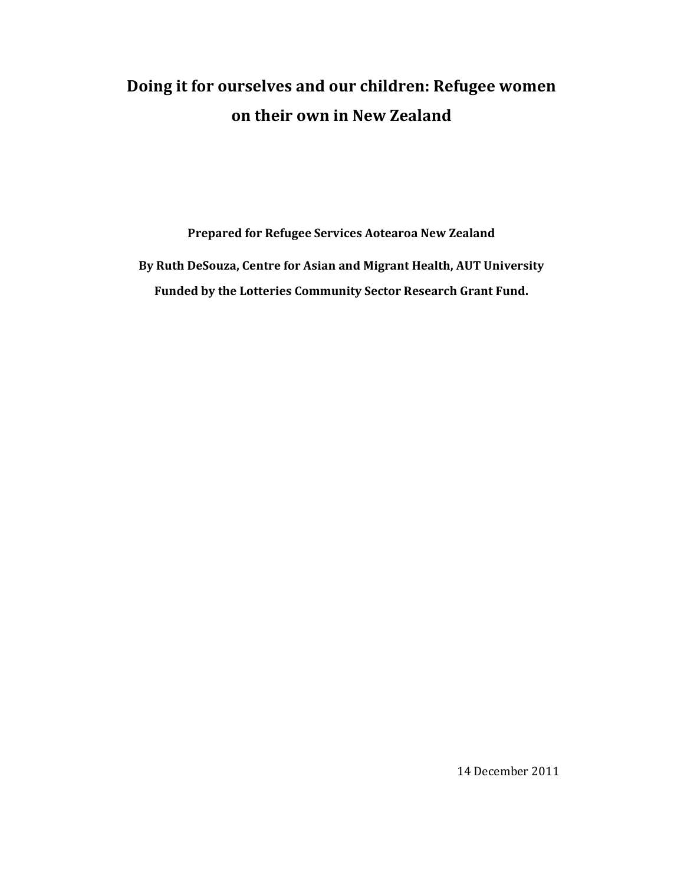# **Doing it for ourselves and our children: Refugee women on their own in New Zealand**

**Prepared for Refugee Services Aotearoa New Zealand**

**By Ruth DeSouza, Centre for Asian and Migrant Health, AUT University Funded by the Lotteries Community Sector Research Grant Fund.** 

14 December 2011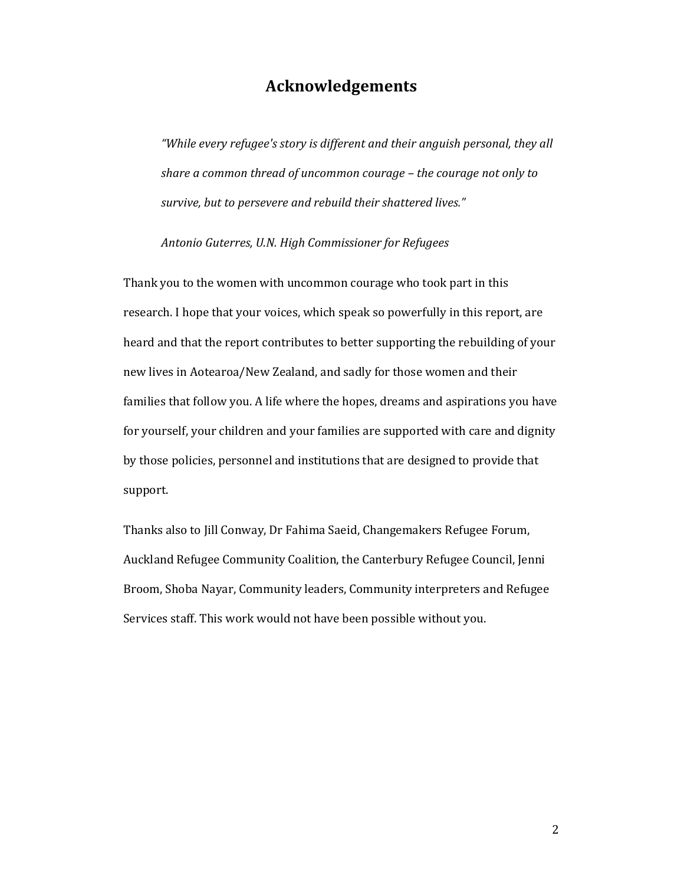# **Acknowledgements**

*"While every refugee's story is different and their anguish personal, they all share a common thread of uncommon courage – the courage not only to survive, but to persevere and rebuild their shattered lives."* 

*Antonio Guterres, U.N. High Commissioner for Refugees* 

Thank you to the women with uncommon courage who took part in this research. I hope that your voices, which speak so powerfully in this report, are heard and that the report contributes to better supporting the rebuilding of your new lives in Aotearoa/New Zealand, and sadly for those women and their families that follow you. A life where the hopes, dreams and aspirations you have for yourself, your children and your families are supported with care and dignity by those policies, personnel and institutions that are designed to provide that support.

Thanks also to Jill Conway, Dr Fahima Saeid, Changemakers Refugee Forum, Auckland Refugee Community Coalition, the Canterbury Refugee Council, Jenni Broom, Shoba Nayar, Community leaders, Community interpreters and Refugee Services staff. This work would not have been possible without you.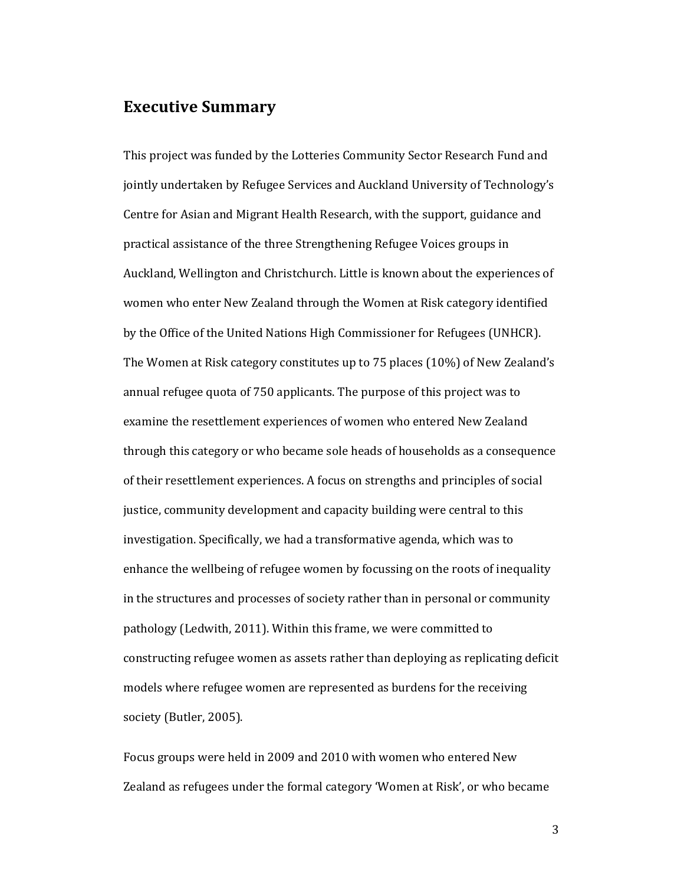## **Executive Summary**

This project was funded by the Lotteries Community Sector Research Fund and jointly undertaken by Refugee Services and Auckland University of Technology's Centre for Asian and Migrant Health Research, with the support, guidance and practical assistance of the three Strengthening Refugee Voices groups in Auckland, Wellington and Christchurch. Little is known about the experiences of women who enter New Zealand through the Women at Risk category identified by the Office of the United Nations High Commissioner for Refugees (UNHCR). The Women at Risk category constitutes up to 75 places (10%) of New Zealand's annual refugee quota of 750 applicants. The purpose of this project was to examine the resettlement experiences of women who entered New Zealand through this category or who became sole heads of households as a consequence of their resettlement experiences. A focus on strengths and principles of social justice, community development and capacity building were central to this investigation. Specifically, we had a transformative agenda, which was to enhance the wellbeing of refugee women by focussing on the roots of inequality in the structures and processes of society rather than in personal or community pathology (Ledwith, 2011). Within this frame, we were committed to constructing refugee women as assets rather than deploying as replicating deficit models where refugee women are represented as burdens for the receiving society (Butler, 2005).

Focus groups were held in 2009 and 2010 with women who entered New Zealand as refugees under the formal category 'Women at Risk', or who became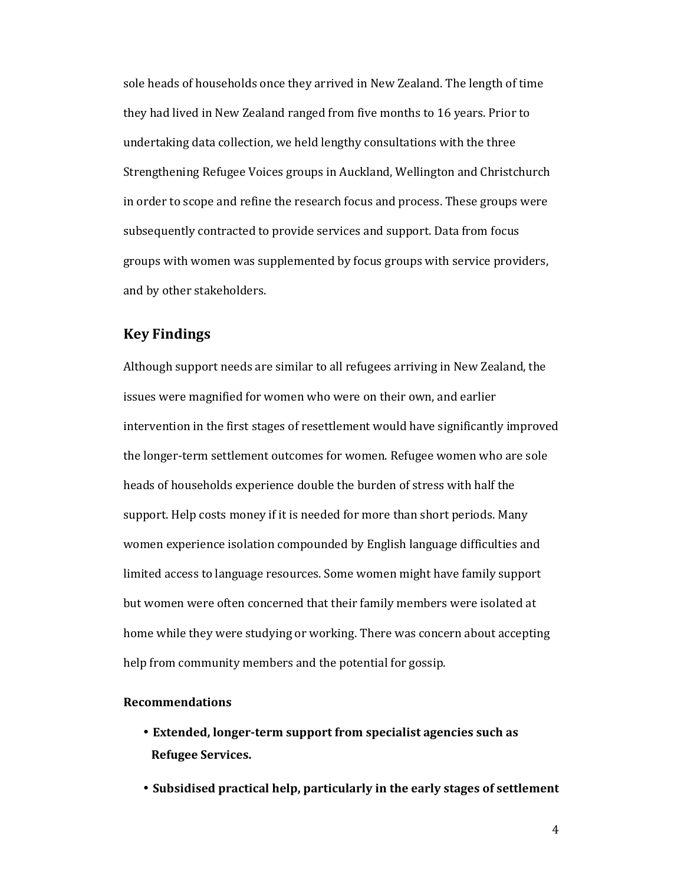sole heads of households once they arrived in New Zealand. The length of time they had lived in New Zealand ranged from five months to 16 years. Prior to undertaking data collection, we held lengthy consultations with the three Strengthening Refugee Voices groups in Auckland, Wellington and Christchurch in order to scope and refine the research focus and process. These groups were subsequently contracted to provide services and support. Data from focus groups with women was supplemented by focus groups with service providers, and by other stakeholders.

## **Key Findings**

Although support needs are similar to all refugees arriving in New Zealand, the issues were magnified for women who were on their own, and earlier intervention in the first stages of resettlement would have significantly improved the longer-term settlement outcomes for women. Refugee women who are sole heads of households experience double the burden of stress with half the support. Help costs money if it is needed for more than short periods. Many women experience isolation compounded by English language difficulties and limited access to language resources. Some women might have family support but women were often concerned that their family members were isolated at home while they were studying or working. There was concern about accepting help from community members and the potential for gossip.

#### **Recommendations**

- **Extended, longer-term support from specialist agencies such as Refugee Services.**
- **Subsidised practical help, particularly in the early stages of settlement**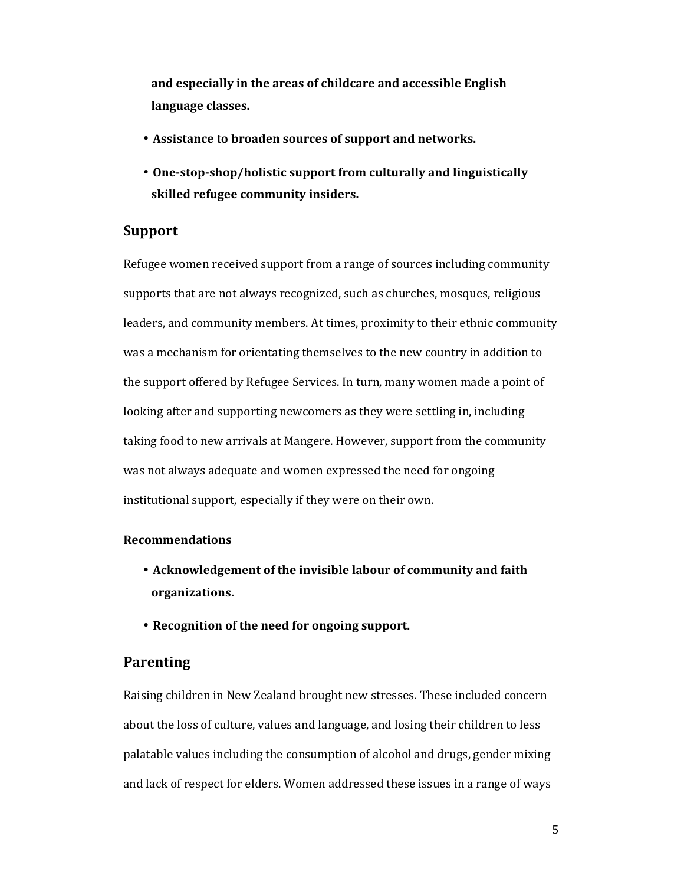**and especially in the areas of childcare and accessible English language classes.** 

- **Assistance to broaden sources of support and networks.**
- **One-stop-shop/holistic support from culturally and linguistically skilled refugee community insiders.**

## **Support**

Refugee women received support from a range of sources including community supports that are not always recognized, such as churches, mosques, religious leaders, and community members. At times, proximity to their ethnic community was a mechanism for orientating themselves to the new country in addition to the support offered by Refugee Services. In turn, many women made a point of looking after and supporting newcomers as they were settling in, including taking food to new arrivals at Mangere. However, support from the community was not always adequate and women expressed the need for ongoing institutional support, especially if they were on their own.

#### **Recommendations**

- **Acknowledgement of the invisible labour of community and faith organizations.**
- **Recognition of the need for ongoing support.**

#### **Parenting**

Raising children in New Zealand brought new stresses. These included concern about the loss of culture, values and language, and losing their children to less palatable values including the consumption of alcohol and drugs, gender mixing and lack of respect for elders. Women addressed these issues in a range of ways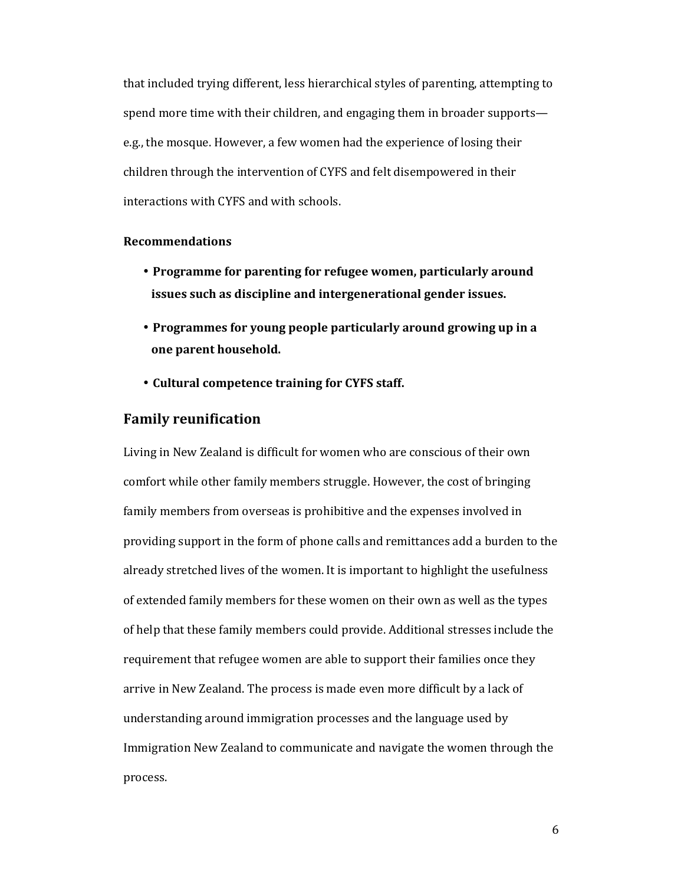that included trying different, less hierarchical styles of parenting, attempting to spend more time with their children, and engaging them in broader supports e.g., the mosque. However, a few women had the experience of losing their children through the intervention of CYFS and felt disempowered in their interactions with CYFS and with schools.

#### **Recommendations**

- **Programme for parenting for refugee women, particularly around issues such as discipline and intergenerational gender issues.**
- **Programmes for young people particularly around growing up in a one parent household.**
- **Cultural competence training for CYFS staff.**

#### **Family reunification**

Living in New Zealand is difficult for women who are conscious of their own comfort while other family members struggle. However, the cost of bringing family members from overseas is prohibitive and the expenses involved in providing support in the form of phone calls and remittances add a burden to the already stretched lives of the women. It is important to highlight the usefulness of extended family members for these women on their own as well as the types of help that these family members could provide. Additional stresses include the requirement that refugee women are able to support their families once they arrive in New Zealand. The process is made even more difficult by a lack of understanding around immigration processes and the language used by Immigration New Zealand to communicate and navigate the women through the process.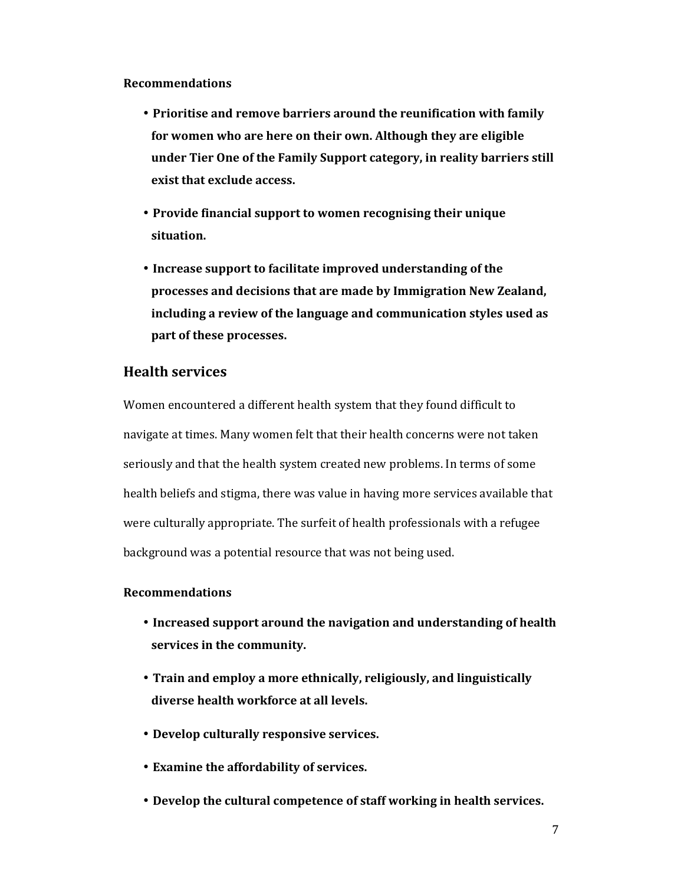#### **Recommendations**

- **Prioritise and remove barriers around the reunification with family for women who are here on their own. Although they are eligible under Tier One of the Family Support category, in reality barriers still exist that exclude access.**
- **Provide financial support to women recognising their unique situation.**
- **Increase support to facilitate improved understanding of the processes and decisions that are made by Immigration New Zealand, including a review of the language and communication styles used as part of these processes.**

## **Health services**

Women encountered a different health system that they found difficult to navigate at times. Many women felt that their health concerns were not taken seriously and that the health system created new problems. In terms of some health beliefs and stigma, there was value in having more services available that were culturally appropriate. The surfeit of health professionals with a refugee background was a potential resource that was not being used.

#### **Recommendations**

- **Increased support around the navigation and understanding of health services in the community.**
- **Train and employ a more ethnically, religiously, and linguistically diverse health workforce at all levels.**
- **Develop culturally responsive services.**
- **Examine the affordability of services.**
- **Develop the cultural competence of staff working in health services.**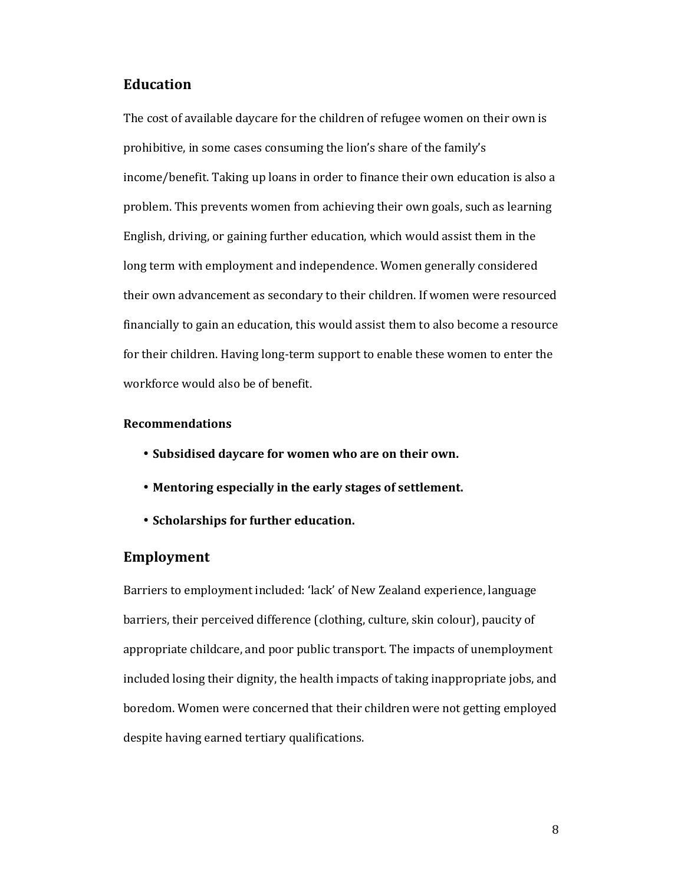## **Education**

The cost of available daycare for the children of refugee women on their own is prohibitive, in some cases consuming the lion's share of the family's income/benefit. Taking up loans in order to finance their own education is also a problem. This prevents women from achieving their own goals, such as learning English, driving, or gaining further education, which would assist them in the long term with employment and independence. Women generally considered their own advancement as secondary to their children. If women were resourced financially to gain an education, this would assist them to also become a resource for their children. Having long-term support to enable these women to enter the workforce would also be of benefit.

#### **Recommendations**

- **Subsidised daycare for women who are on their own.**
- **Mentoring especially in the early stages of settlement.**
- **Scholarships for further education.**

#### **Employment**

Barriers to employment included: 'lack' of New Zealand experience, language barriers, their perceived difference (clothing, culture, skin colour), paucity of appropriate childcare, and poor public transport. The impacts of unemployment included losing their dignity, the health impacts of taking inappropriate jobs, and boredom. Women were concerned that their children were not getting employed despite having earned tertiary qualifications.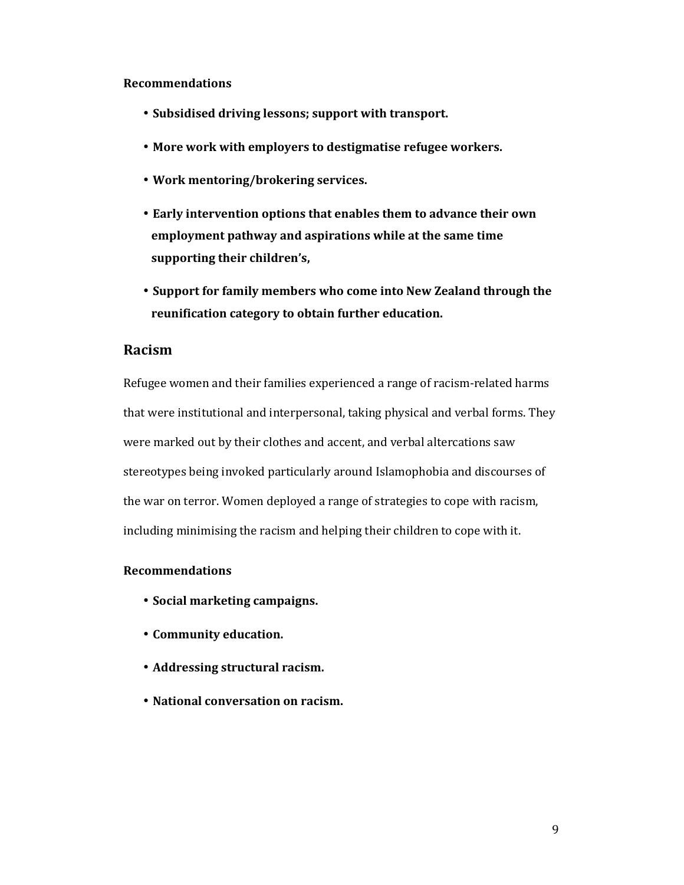#### **Recommendations**

- **Subsidised driving lessons; support with transport.**
- **More work with employers to destigmatise refugee workers.**
- **Work mentoring/brokering services.**
- **Early intervention options that enables them to advance their own employment pathway and aspirations while at the same time supporting their children's,**
- **Support for family members who come into New Zealand through the reunification category to obtain further education.**

## **Racism**

Refugee women and their families experienced a range of racism-related harms that were institutional and interpersonal, taking physical and verbal forms. They were marked out by their clothes and accent, and verbal altercations saw stereotypes being invoked particularly around Islamophobia and discourses of the war on terror. Women deployed a range of strategies to cope with racism, including minimising the racism and helping their children to cope with it.

#### **Recommendations**

- **Social marketing campaigns.**
- **Community education.**
- **Addressing structural racism.**
- **National conversation on racism.**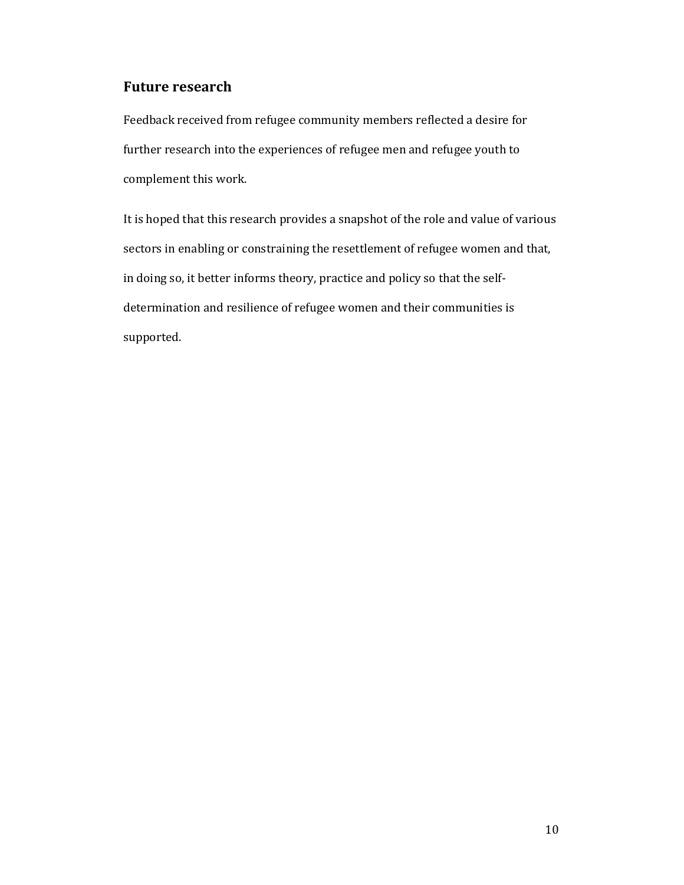## **Future research**

Feedback received from refugee community members reflected a desire for further research into the experiences of refugee men and refugee youth to complement this work.

It is hoped that this research provides a snapshot of the role and value of various sectors in enabling or constraining the resettlement of refugee women and that, in doing so, it better informs theory, practice and policy so that the selfdetermination and resilience of refugee women and their communities is supported.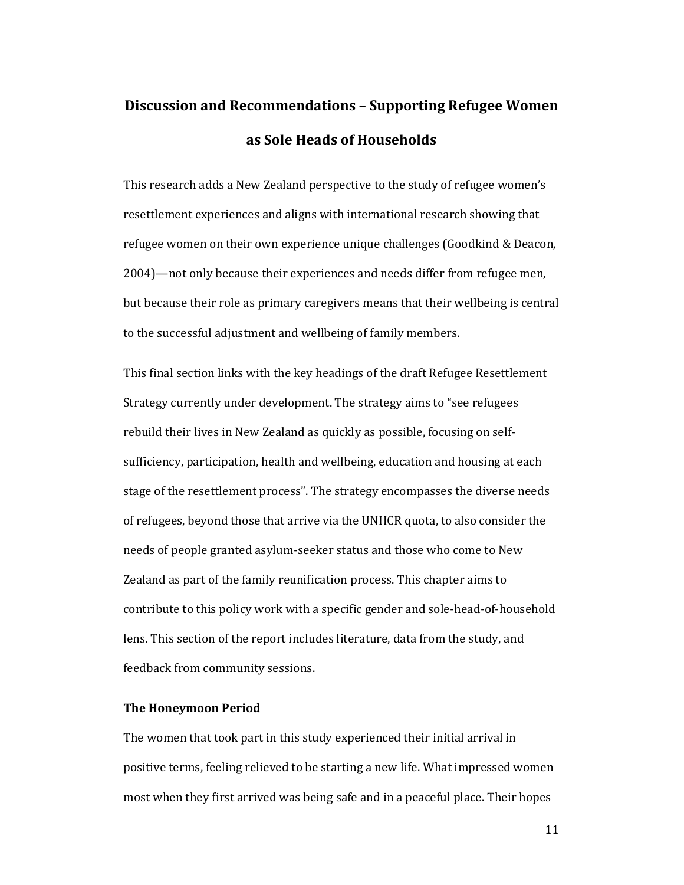# **Discussion and Recommendations – Supporting Refugee Women as Sole Heads of Households**

This research adds a New Zealand perspective to the study of refugee women's resettlement experiences and aligns with international research showing that refugee women on their own experience unique challenges (Goodkind & Deacon, 2004)—not only because their experiences and needs differ from refugee men, but because their role as primary caregivers means that their wellbeing is central to the successful adjustment and wellbeing of family members.

This final section links with the key headings of the draft Refugee Resettlement Strategy currently under development. The strategy aims to "see refugees rebuild their lives in New Zealand as quickly as possible, focusing on selfsufficiency, participation, health and wellbeing, education and housing at each stage of the resettlement process". The strategy encompasses the diverse needs of refugees, beyond those that arrive via the UNHCR quota, to also consider the needs of people granted asylum-seeker status and those who come to New Zealand as part of the family reunification process. This chapter aims to contribute to this policy work with a specific gender and sole-head-of-household lens. This section of the report includes literature, data from the study, and feedback from community sessions.

#### **The Honeymoon Period**

The women that took part in this study experienced their initial arrival in positive terms, feeling relieved to be starting a new life. What impressed women most when they first arrived was being safe and in a peaceful place. Their hopes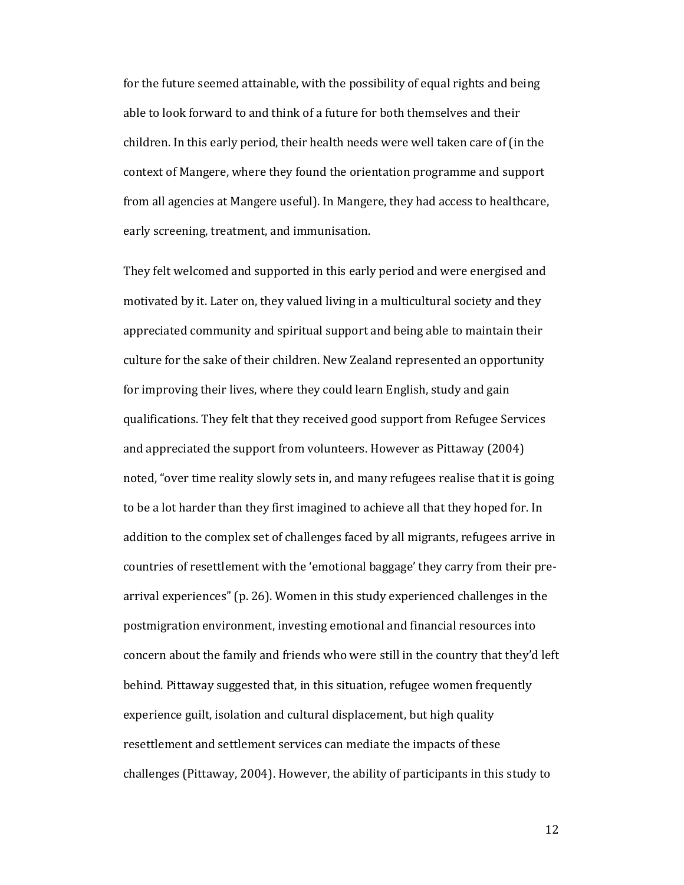for the future seemed attainable, with the possibility of equal rights and being able to look forward to and think of a future for both themselves and their children. In this early period, their health needs were well taken care of (in the context of Mangere, where they found the orientation programme and support from all agencies at Mangere useful). In Mangere, they had access to healthcare, early screening, treatment, and immunisation.

They felt welcomed and supported in this early period and were energised and motivated by it. Later on, they valued living in a multicultural society and they appreciated community and spiritual support and being able to maintain their culture for the sake of their children. New Zealand represented an opportunity for improving their lives, where they could learn English, study and gain qualifications. They felt that they received good support from Refugee Services and appreciated the support from volunteers. However as Pittaway (2004) noted, "over time reality slowly sets in, and many refugees realise that it is going to be a lot harder than they first imagined to achieve all that they hoped for. In addition to the complex set of challenges faced by all migrants, refugees arrive in countries of resettlement with the 'emotional baggage' they carry from their prearrival experiences" (p. 26). Women in this study experienced challenges in the postmigration environment, investing emotional and financial resources into concern about the family and friends who were still in the country that they'd left behind. Pittaway suggested that, in this situation, refugee women frequently experience guilt, isolation and cultural displacement, but high quality resettlement and settlement services can mediate the impacts of these challenges (Pittaway, 2004). However, the ability of participants in this study to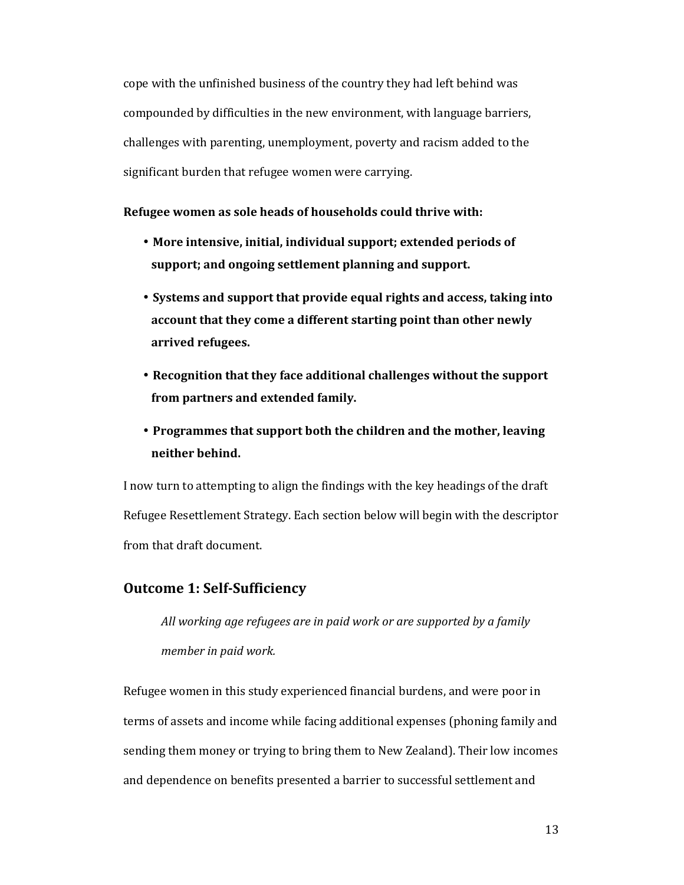cope with the unfinished business of the country they had left behind was compounded by difficulties in the new environment, with language barriers, challenges with parenting, unemployment, poverty and racism added to the significant burden that refugee women were carrying.

#### **Refugee women as sole heads of households could thrive with:**

- **More intensive, initial, individual support; extended periods of support; and ongoing settlement planning and support.**
- **Systems and support that provide equal rights and access, taking into account that they come a different starting point than other newly arrived refugees.**
- **Recognition that they face additional challenges without the support from partners and extended family.**
- **Programmes that support both the children and the mother, leaving neither behind.**

I now turn to attempting to align the findings with the key headings of the draft Refugee Resettlement Strategy. Each section below will begin with the descriptor from that draft document.

#### **Outcome 1: Self-Sufficiency**

*All working age refugees are in paid work or are supported by a family member in paid work.* 

Refugee women in this study experienced financial burdens, and were poor in terms of assets and income while facing additional expenses (phoning family and sending them money or trying to bring them to New Zealand). Their low incomes and dependence on benefits presented a barrier to successful settlement and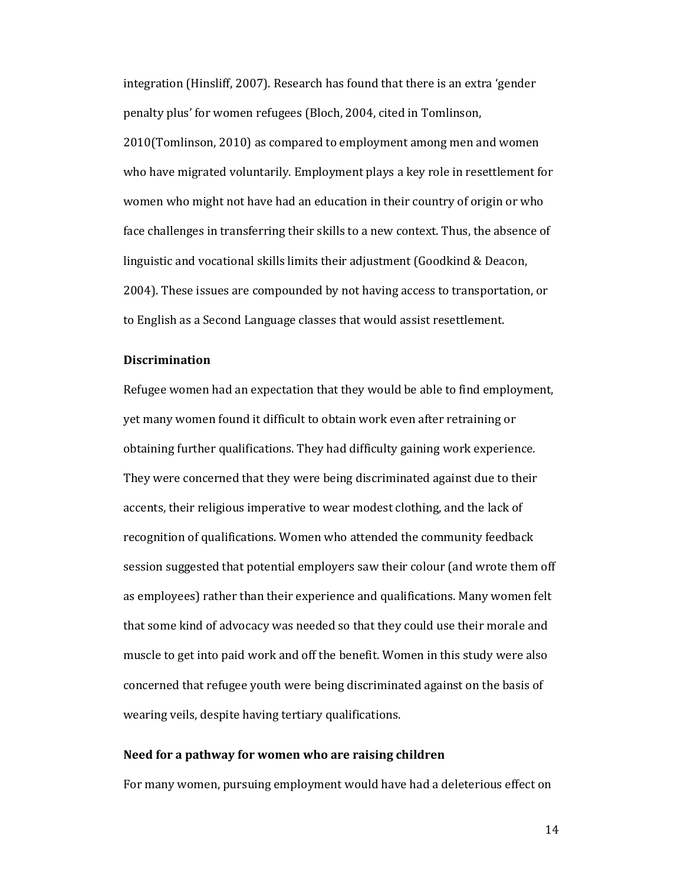integration (Hinsliff, 2007). Research has found that there is an extra 'gender penalty plus' for women refugees (Bloch, 2004, cited in Tomlinson, 2010(Tomlinson, 2010) as compared to employment among men and women who have migrated voluntarily. Employment plays a key role in resettlement for women who might not have had an education in their country of origin or who face challenges in transferring their skills to a new context. Thus, the absence of linguistic and vocational skills limits their adjustment (Goodkind & Deacon, 2004). These issues are compounded by not having access to transportation, or to English as a Second Language classes that would assist resettlement.

#### **Discrimination**

Refugee women had an expectation that they would be able to find employment, yet many women found it difficult to obtain work even after retraining or obtaining further qualifications. They had difficulty gaining work experience. They were concerned that they were being discriminated against due to their accents, their religious imperative to wear modest clothing, and the lack of recognition of qualifications. Women who attended the community feedback session suggested that potential employers saw their colour (and wrote them off as employees) rather than their experience and qualifications. Many women felt that some kind of advocacy was needed so that they could use their morale and muscle to get into paid work and off the benefit. Women in this study were also concerned that refugee youth were being discriminated against on the basis of wearing veils, despite having tertiary qualifications.

#### **Need for a pathway for women who are raising children**

For many women, pursuing employment would have had a deleterious effect on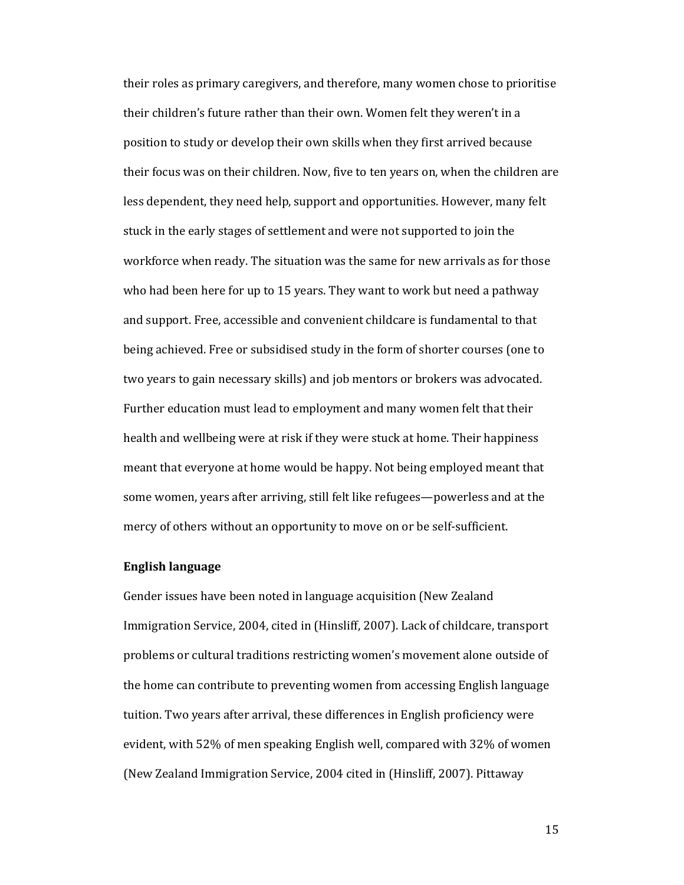their roles as primary caregivers, and therefore, many women chose to prioritise their children's future rather than their own. Women felt they weren't in a position to study or develop their own skills when they first arrived because their focus was on their children. Now, five to ten years on, when the children are less dependent, they need help, support and opportunities. However, many felt stuck in the early stages of settlement and were not supported to join the workforce when ready. The situation was the same for new arrivals as for those who had been here for up to 15 years. They want to work but need a pathway and support. Free, accessible and convenient childcare is fundamental to that being achieved. Free or subsidised study in the form of shorter courses (one to two years to gain necessary skills) and job mentors or brokers was advocated. Further education must lead to employment and many women felt that their health and wellbeing were at risk if they were stuck at home. Their happiness meant that everyone at home would be happy. Not being employed meant that some women, years after arriving, still felt like refugees—powerless and at the mercy of others without an opportunity to move on or be self-sufficient.

#### **English language**

Gender issues have been noted in language acquisition (New Zealand Immigration Service, 2004, cited in (Hinsliff, 2007). Lack of childcare, transport problems or cultural traditions restricting women's movement alone outside of the home can contribute to preventing women from accessing English language tuition. Two years after arrival, these differences in English proficiency were evident, with 52% of men speaking English well, compared with 32% of women (New Zealand Immigration Service, 2004 cited in (Hinsliff, 2007). Pittaway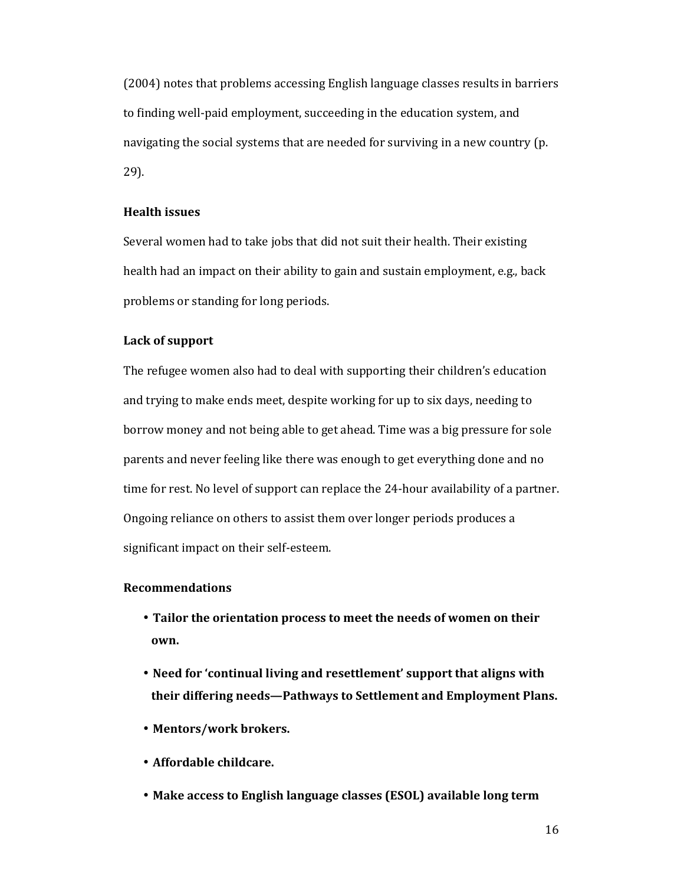(2004) notes that problems accessing English language classes results in barriers to finding well-paid employment, succeeding in the education system, and navigating the social systems that are needed for surviving in a new country (p. 29).

#### **Health issues**

Several women had to take jobs that did not suit their health. Their existing health had an impact on their ability to gain and sustain employment, e.g., back problems or standing for long periods.

#### **Lack of support**

The refugee women also had to deal with supporting their children's education and trying to make ends meet, despite working for up to six days, needing to borrow money and not being able to get ahead. Time was a big pressure for sole parents and never feeling like there was enough to get everything done and no time for rest. No level of support can replace the 24-hour availability of a partner. Ongoing reliance on others to assist them over longer periods produces a significant impact on their self-esteem.

#### **Recommendations**

- **Tailor the orientation process to meet the needs of women on their own.**
- **Need for 'continual living and resettlement' support that aligns with their differing needs—Pathways to Settlement and Employment Plans.**
- **Mentors/work brokers.**
- **Affordable childcare.**
- **Make access to English language classes (ESOL) available long term**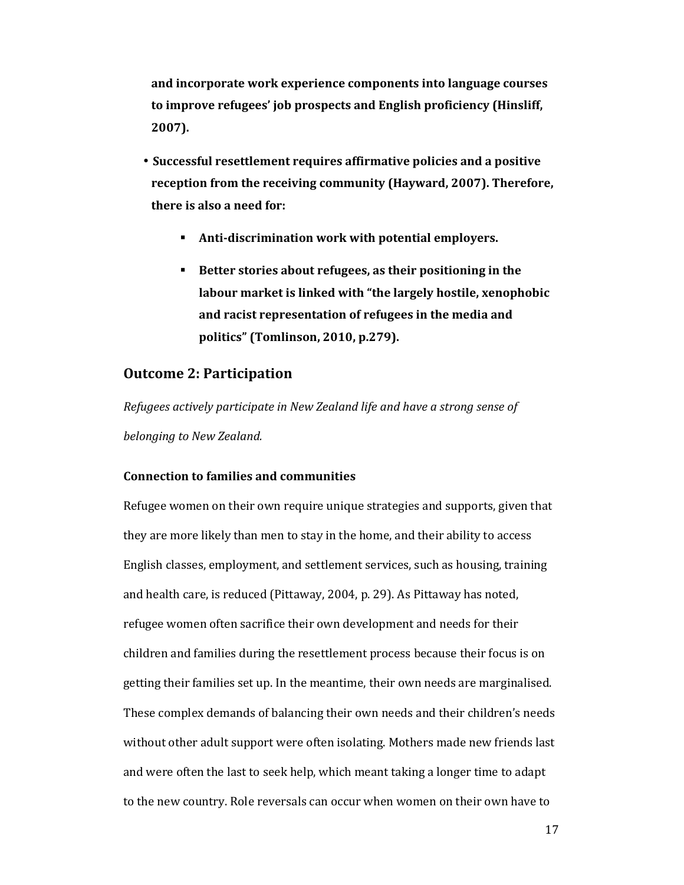**and incorporate work experience components into language courses to improve refugees' job prospects and English proficiency (Hinsliff, 2007).** 

- **Successful resettlement requires affirmative policies and a positive reception from the receiving community (Hayward, 2007). Therefore, there is also a need for:** 
	- **Anti-discrimination work with potential employers.**
	- **Better stories about refugees, as their positioning in the labour market is linked with "the largely hostile, xenophobic and racist representation of refugees in the media and politics" (Tomlinson, 2010, p.279).**

## **Outcome 2: Participation**

*Refugees actively participate in New Zealand life and have a strong sense of belonging to New Zealand.* 

#### **Connection to families and communities**

Refugee women on their own require unique strategies and supports, given that they are more likely than men to stay in the home, and their ability to access English classes, employment, and settlement services, such as housing, training and health care, is reduced (Pittaway, 2004, p. 29). As Pittaway has noted, refugee women often sacrifice their own development and needs for their children and families during the resettlement process because their focus is on getting their families set up. In the meantime, their own needs are marginalised. These complex demands of balancing their own needs and their children's needs without other adult support were often isolating. Mothers made new friends last and were often the last to seek help, which meant taking a longer time to adapt to the new country. Role reversals can occur when women on their own have to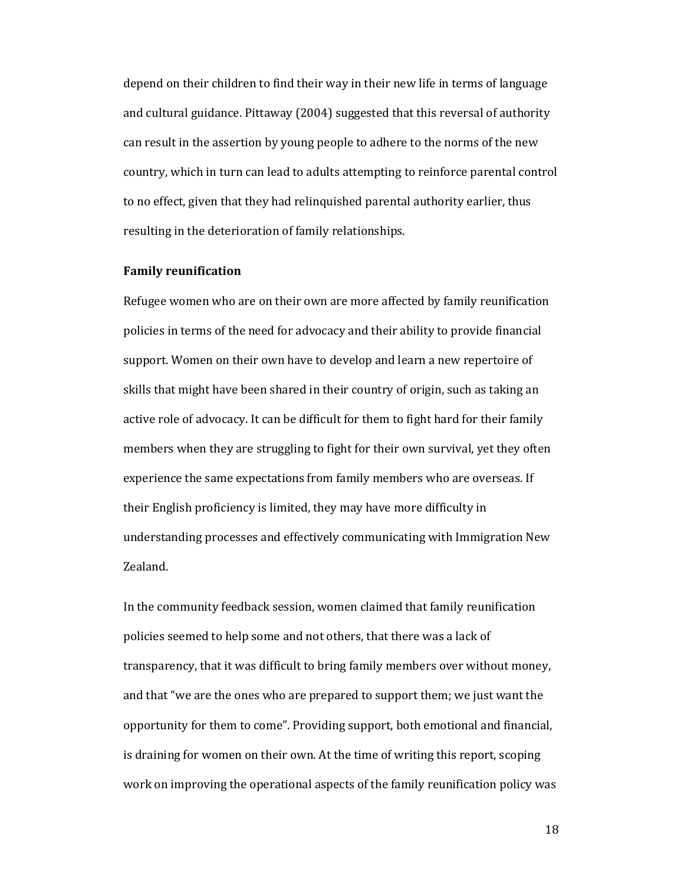depend on their children to find their way in their new life in terms of language and cultural guidance. Pittaway (2004) suggested that this reversal of authority can result in the assertion by young people to adhere to the norms of the new country, which in turn can lead to adults attempting to reinforce parental control to no effect, given that they had relinquished parental authority earlier, thus resulting in the deterioration of family relationships.

#### **Family reunification**

Refugee women who are on their own are more affected by family reunification policies in terms of the need for advocacy and their ability to provide financial support. Women on their own have to develop and learn a new repertoire of skills that might have been shared in their country of origin, such as taking an active role of advocacy. It can be difficult for them to fight hard for their family members when they are struggling to fight for their own survival, yet they often experience the same expectations from family members who are overseas. If their English proficiency is limited, they may have more difficulty in understanding processes and effectively communicating with Immigration New Zealand.

In the community feedback session, women claimed that family reunification policies seemed to help some and not others, that there was a lack of transparency, that it was difficult to bring family members over without money, and that "we are the ones who are prepared to support them; we just want the opportunity for them to come". Providing support, both emotional and financial, is draining for women on their own. At the time of writing this report, scoping work on improving the operational aspects of the family reunification policy was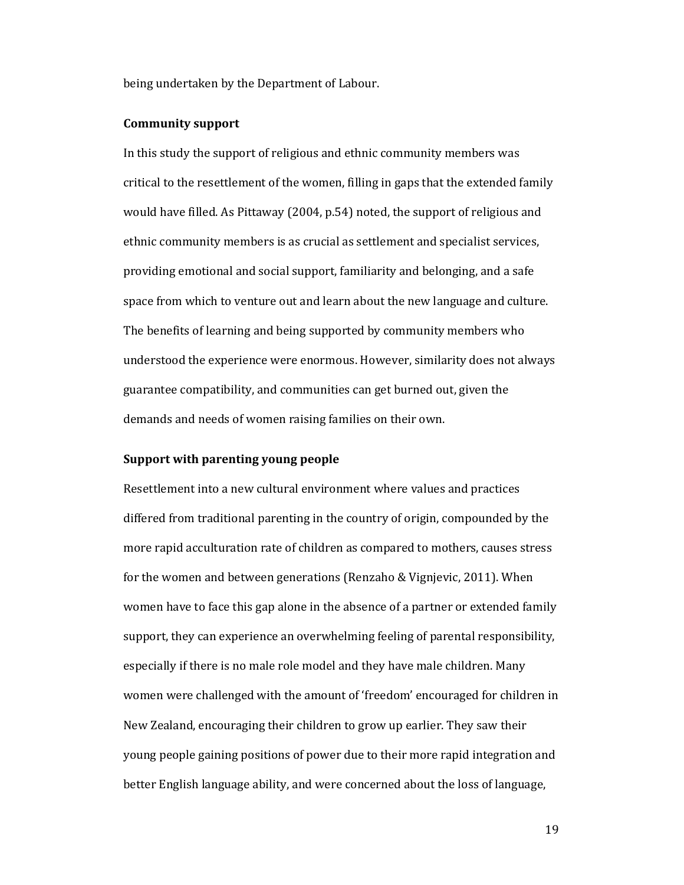being undertaken by the Department of Labour.

#### **Community support**

In this study the support of religious and ethnic community members was critical to the resettlement of the women, filling in gaps that the extended family would have filled. As Pittaway (2004, p.54) noted, the support of religious and ethnic community members is as crucial as settlement and specialist services, providing emotional and social support, familiarity and belonging, and a safe space from which to venture out and learn about the new language and culture. The benefits of learning and being supported by community members who understood the experience were enormous. However, similarity does not always guarantee compatibility, and communities can get burned out, given the demands and needs of women raising families on their own.

#### **Support with parenting young people**

Resettlement into a new cultural environment where values and practices differed from traditional parenting in the country of origin, compounded by the more rapid acculturation rate of children as compared to mothers, causes stress for the women and between generations (Renzaho & Vignjevic, 2011). When women have to face this gap alone in the absence of a partner or extended family support, they can experience an overwhelming feeling of parental responsibility, especially if there is no male role model and they have male children. Many women were challenged with the amount of 'freedom' encouraged for children in New Zealand, encouraging their children to grow up earlier. They saw their young people gaining positions of power due to their more rapid integration and better English language ability, and were concerned about the loss of language,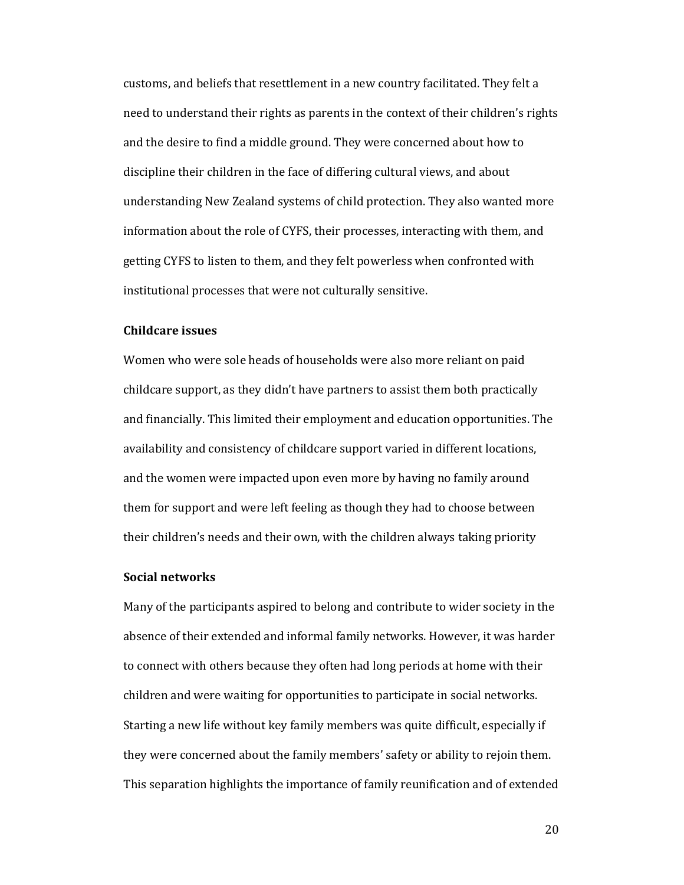customs, and beliefs that resettlement in a new country facilitated. They felt a need to understand their rights as parents in the context of their children's rights and the desire to find a middle ground. They were concerned about how to discipline their children in the face of differing cultural views, and about understanding New Zealand systems of child protection. They also wanted more information about the role of CYFS, their processes, interacting with them, and getting CYFS to listen to them, and they felt powerless when confronted with institutional processes that were not culturally sensitive.

#### **Childcare issues**

Women who were sole heads of households were also more reliant on paid childcare support, as they didn't have partners to assist them both practically and financially. This limited their employment and education opportunities. The availability and consistency of childcare support varied in different locations, and the women were impacted upon even more by having no family around them for support and were left feeling as though they had to choose between their children's needs and their own, with the children always taking priority

#### **Social networks**

Many of the participants aspired to belong and contribute to wider society in the absence of their extended and informal family networks. However, it was harder to connect with others because they often had long periods at home with their children and were waiting for opportunities to participate in social networks. Starting a new life without key family members was quite difficult, especially if they were concerned about the family members' safety or ability to rejoin them. This separation highlights the importance of family reunification and of extended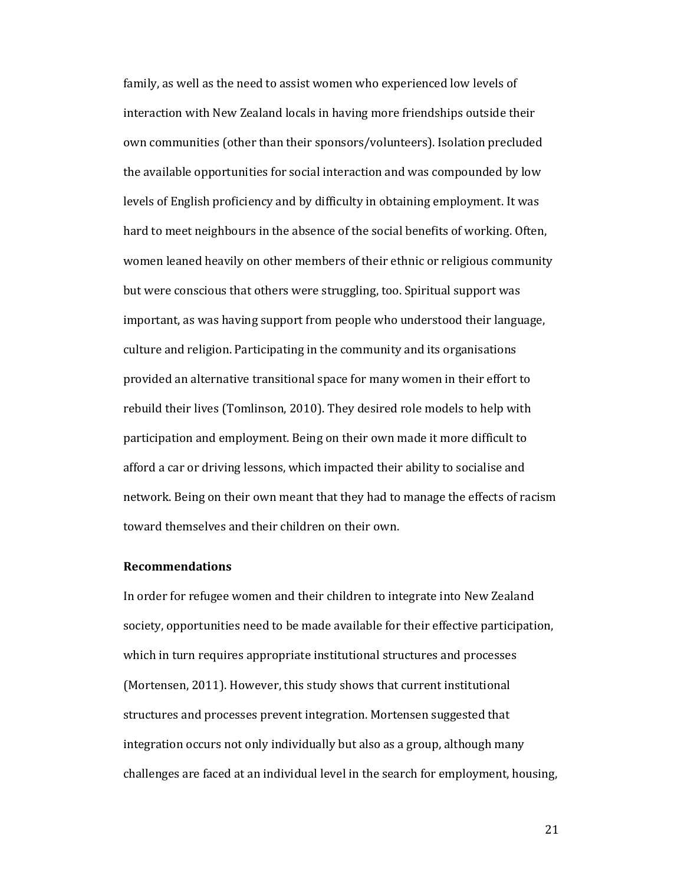family, as well as the need to assist women who experienced low levels of interaction with New Zealand locals in having more friendships outside their own communities (other than their sponsors/volunteers). Isolation precluded the available opportunities for social interaction and was compounded by low levels of English proficiency and by difficulty in obtaining employment. It was hard to meet neighbours in the absence of the social benefits of working. Often, women leaned heavily on other members of their ethnic or religious community but were conscious that others were struggling, too. Spiritual support was important, as was having support from people who understood their language, culture and religion. Participating in the community and its organisations provided an alternative transitional space for many women in their effort to rebuild their lives (Tomlinson, 2010). They desired role models to help with participation and employment. Being on their own made it more difficult to afford a car or driving lessons, which impacted their ability to socialise and network. Being on their own meant that they had to manage the effects of racism toward themselves and their children on their own.

#### **Recommendations**

In order for refugee women and their children to integrate into New Zealand society, opportunities need to be made available for their effective participation, which in turn requires appropriate institutional structures and processes (Mortensen, 2011). However, this study shows that current institutional structures and processes prevent integration. Mortensen suggested that integration occurs not only individually but also as a group, although many challenges are faced at an individual level in the search for employment, housing,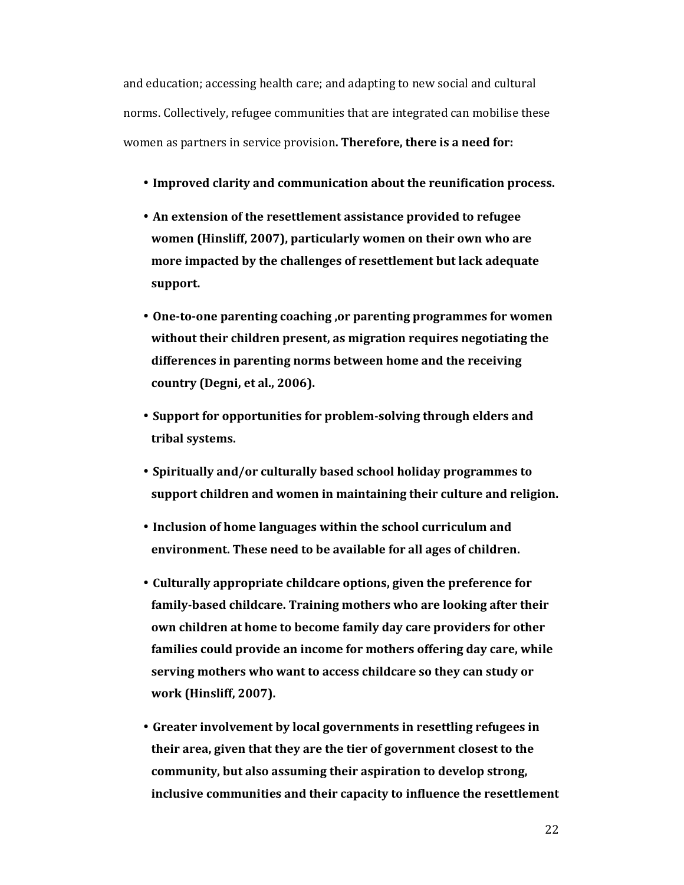and education; accessing health care; and adapting to new social and cultural norms. Collectively, refugee communities that are integrated can mobilise these women as partners in service provision**. Therefore, there is a need for:** 

- **Improved clarity and communication about the reunification process.**
- **An extension of the resettlement assistance provided to refugee women (Hinsliff, 2007), particularly women on their own who are more impacted by the challenges of resettlement but lack adequate support.**
- **One-to-one parenting coaching ,or parenting programmes for women without their children present, as migration requires negotiating the differences in parenting norms between home and the receiving country (Degni, et al., 2006).**
- **Support for opportunities for problem-solving through elders and tribal systems.**
- **Spiritually and/or culturally based school holiday programmes to support children and women in maintaining their culture and religion.**
- **Inclusion of home languages within the school curriculum and environment. These need to be available for all ages of children.**
- **Culturally appropriate childcare options, given the preference for family-based childcare. Training mothers who are looking after their own children at home to become family day care providers for other families could provide an income for mothers offering day care, while serving mothers who want to access childcare so they can study or work (Hinsliff, 2007).**
- **Greater involvement by local governments in resettling refugees in their area, given that they are the tier of government closest to the community, but also assuming their aspiration to develop strong, inclusive communities and their capacity to influence the resettlement**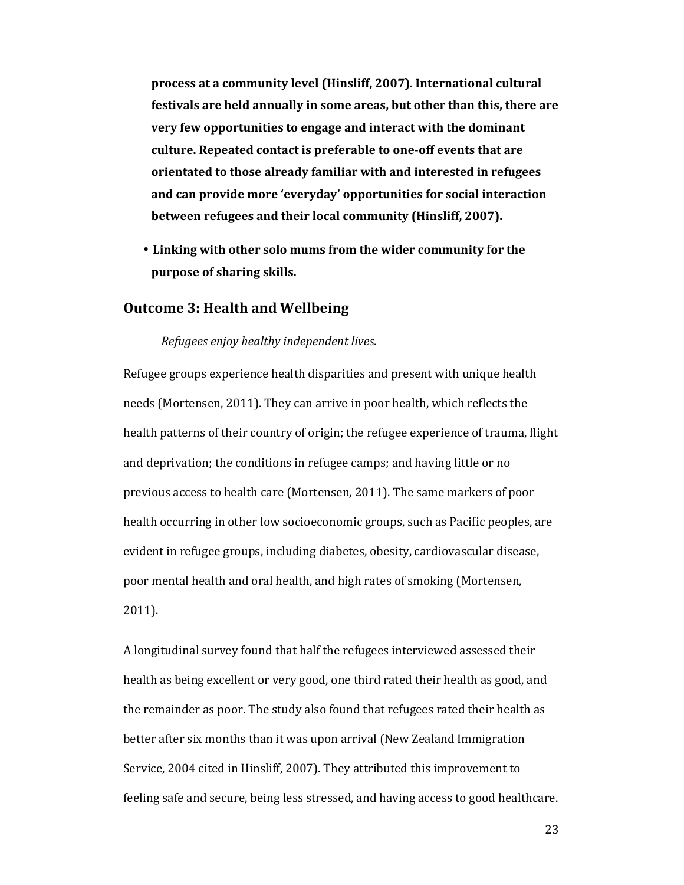**process at a community level (Hinsliff, 2007). International cultural festivals are held annually in some areas, but other than this, there are very few opportunities to engage and interact with the dominant culture. Repeated contact is preferable to one-off events that are orientated to those already familiar with and interested in refugees and can provide more 'everyday' opportunities for social interaction between refugees and their local community (Hinsliff, 2007).** 

• **Linking with other solo mums from the wider community for the purpose of sharing skills.** 

### **Outcome 3: Health and Wellbeing**

#### *Refugees enjoy healthy independent lives.*

Refugee groups experience health disparities and present with unique health needs (Mortensen, 2011). They can arrive in poor health, which reflects the health patterns of their country of origin; the refugee experience of trauma, flight and deprivation; the conditions in refugee camps; and having little or no previous access to health care (Mortensen, 2011). The same markers of poor health occurring in other low socioeconomic groups, such as Pacific peoples, are evident in refugee groups, including diabetes, obesity, cardiovascular disease, poor mental health and oral health, and high rates of smoking (Mortensen, 2011).

A longitudinal survey found that half the refugees interviewed assessed their health as being excellent or very good, one third rated their health as good, and the remainder as poor. The study also found that refugees rated their health as better after six months than it was upon arrival (New Zealand Immigration Service, 2004 cited in Hinsliff, 2007). They attributed this improvement to feeling safe and secure, being less stressed, and having access to good healthcare.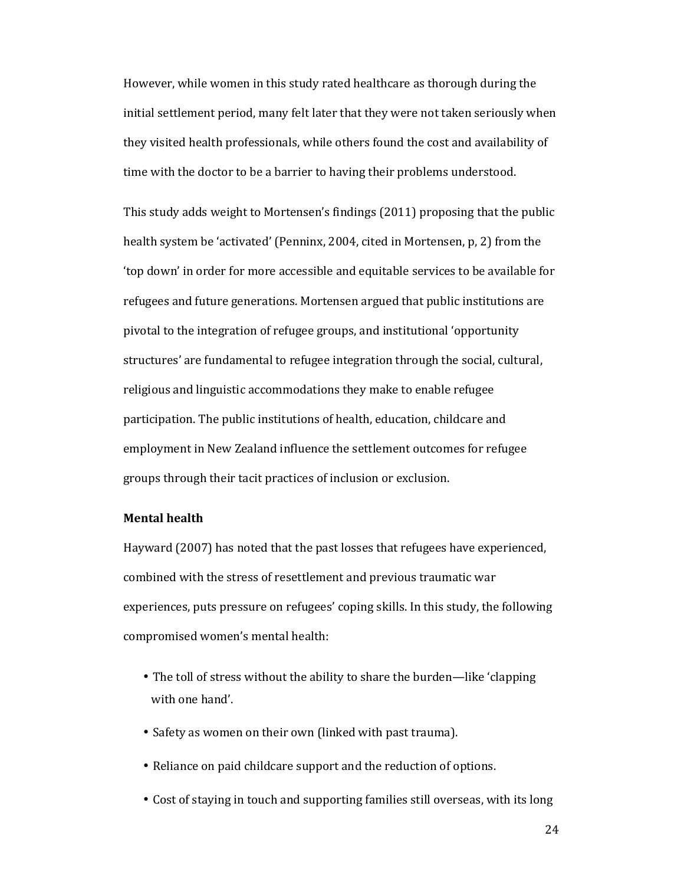However, while women in this study rated healthcare as thorough during the initial settlement period, many felt later that they were not taken seriously when they visited health professionals, while others found the cost and availability of time with the doctor to be a barrier to having their problems understood.

This study adds weight to Mortensen's findings (2011) proposing that the public health system be 'activated' (Penninx, 2004, cited in Mortensen, p, 2) from the 'top down' in order for more accessible and equitable services to be available for refugees and future generations. Mortensen argued that public institutions are pivotal to the integration of refugee groups, and institutional 'opportunity structures' are fundamental to refugee integration through the social, cultural, religious and linguistic accommodations they make to enable refugee participation. The public institutions of health, education, childcare and employment in New Zealand influence the settlement outcomes for refugee groups through their tacit practices of inclusion or exclusion.

#### **Mental health**

Hayward (2007) has noted that the past losses that refugees have experienced, combined with the stress of resettlement and previous traumatic war experiences, puts pressure on refugees' coping skills. In this study, the following compromised women's mental health:

- The toll of stress without the ability to share the burden—like 'clapping with one hand'.
- Safety as women on their own (linked with past trauma).
- Reliance on paid childcare support and the reduction of options.
- Cost of staying in touch and supporting families still overseas, with its long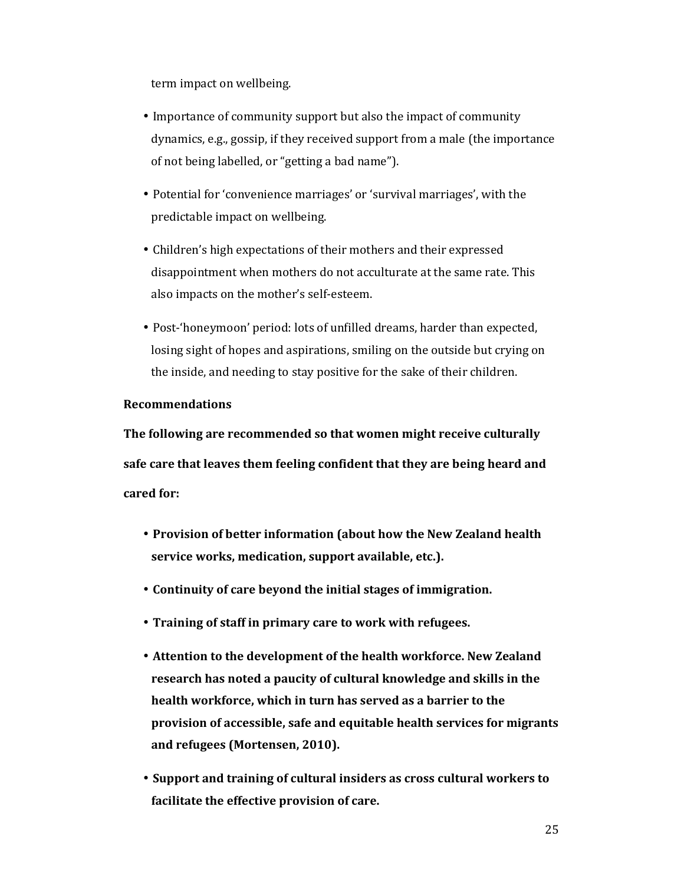term impact on wellbeing.

- Importance of community support but also the impact of community dynamics, e.g., gossip, if they received support from a male (the importance of not being labelled, or "getting a bad name").
- Potential for 'convenience marriages' or 'survival marriages', with the predictable impact on wellbeing.
- Children's high expectations of their mothers and their expressed disappointment when mothers do not acculturate at the same rate. This also impacts on the mother's self-esteem.
- Post-'honeymoon' period: lots of unfilled dreams, harder than expected, losing sight of hopes and aspirations, smiling on the outside but crying on the inside, and needing to stay positive for the sake of their children.

#### **Recommendations**

**The following are recommended so that women might receive culturally safe care that leaves them feeling confident that they are being heard and cared for:** 

- **Provision of better information (about how the New Zealand health service works, medication, support available, etc.).**
- **Continuity of care beyond the initial stages of immigration.**
- **Training of staff in primary care to work with refugees.**
- **Attention to the development of the health workforce. New Zealand research has noted a paucity of cultural knowledge and skills in the health workforce, which in turn has served as a barrier to the provision of accessible, safe and equitable health services for migrants and refugees (Mortensen, 2010).**
- **Support and training of cultural insiders as cross cultural workers to facilitate the effective provision of care.**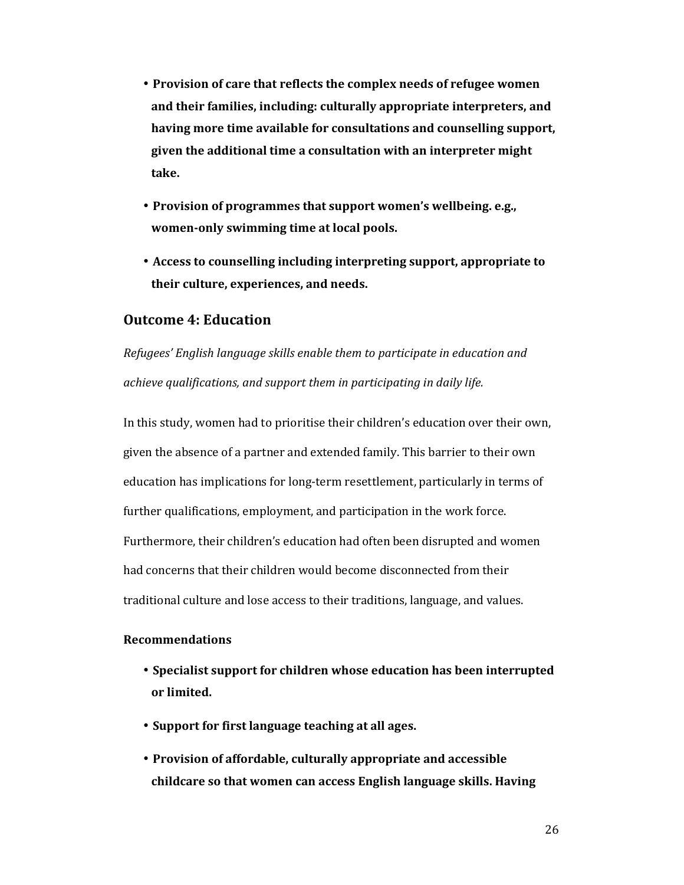- **Provision of care that reflects the complex needs of refugee women and their families, including: culturally appropriate interpreters, and having more time available for consultations and counselling support, given the additional time a consultation with an interpreter might take.**
- **Provision of programmes that support women's wellbeing. e.g., women-only swimming time at local pools.**
- **Access to counselling including interpreting support, appropriate to their culture, experiences, and needs.**

## **Outcome 4: Education**

*Refugees' English language skills enable them to participate in education and achieve qualifications, and support them in participating in daily life.* 

In this study, women had to prioritise their children's education over their own, given the absence of a partner and extended family. This barrier to their own education has implications for long-term resettlement, particularly in terms of further qualifications, employment, and participation in the work force. Furthermore, their children's education had often been disrupted and women had concerns that their children would become disconnected from their traditional culture and lose access to their traditions, language, and values.

#### **Recommendations**

- **Specialist support for children whose education has been interrupted or limited.**
- **Support for first language teaching at all ages.**
- **Provision of affordable, culturally appropriate and accessible childcare so that women can access English language skills. Having**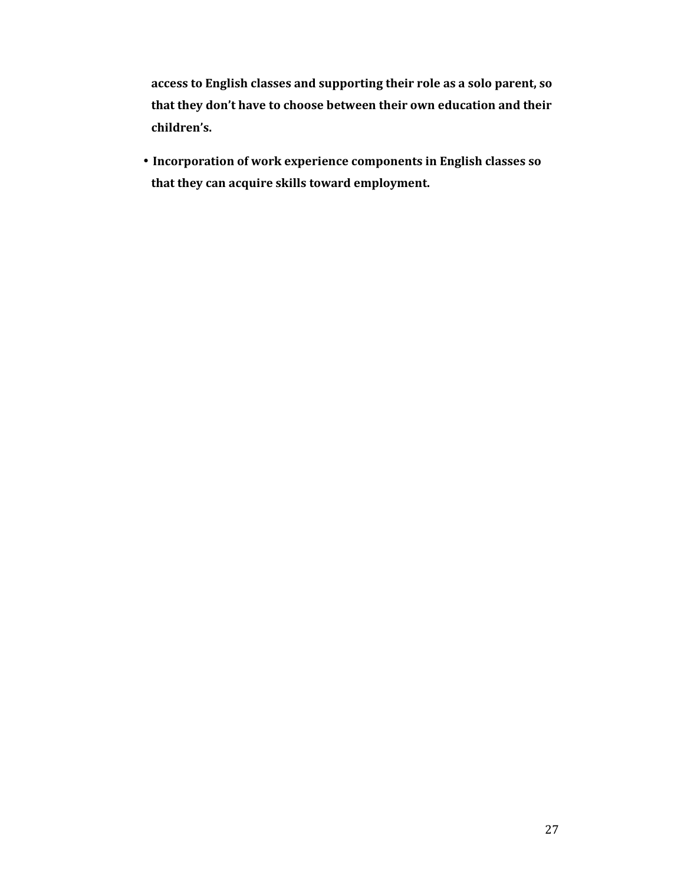**access to English classes and supporting their role as a solo parent, so that they don't have to choose between their own education and their children's.** 

• **Incorporation of work experience components in English classes so that they can acquire skills toward employment.**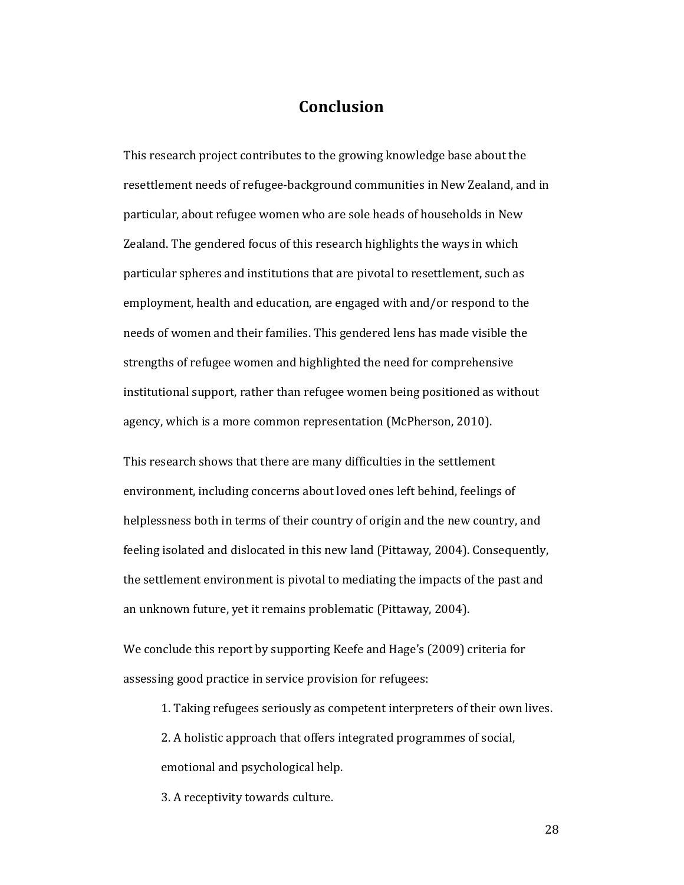## **Conclusion**

This research project contributes to the growing knowledge base about the resettlement needs of refugee-background communities in New Zealand, and in particular, about refugee women who are sole heads of households in New Zealand. The gendered focus of this research highlights the ways in which particular spheres and institutions that are pivotal to resettlement, such as employment, health and education, are engaged with and/or respond to the needs of women and their families. This gendered lens has made visible the strengths of refugee women and highlighted the need for comprehensive institutional support, rather than refugee women being positioned as without agency, which is a more common representation (McPherson, 2010).

This research shows that there are many difficulties in the settlement environment, including concerns about loved ones left behind, feelings of helplessness both in terms of their country of origin and the new country, and feeling isolated and dislocated in this new land (Pittaway, 2004). Consequently, the settlement environment is pivotal to mediating the impacts of the past and an unknown future, yet it remains problematic (Pittaway, 2004).

We conclude this report by supporting Keefe and Hage's (2009) criteria for assessing good practice in service provision for refugees:

1. Taking refugees seriously as competent interpreters of their own lives.

2. A holistic approach that offers integrated programmes of social, emotional and psychological help.

3. A receptivity towards culture.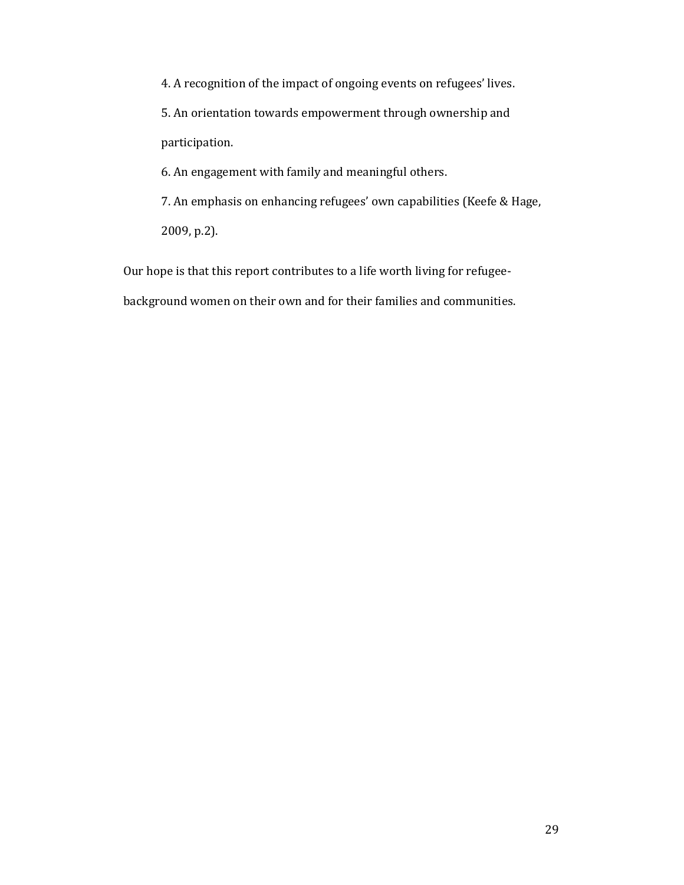4. A recognition of the impact of ongoing events on refugees' lives.

5. An orientation towards empowerment through ownership and participation.

6. An engagement with family and meaningful others.

7. An emphasis on enhancing refugees' own capabilities (Keefe & Hage, 2009, p.2).

Our hope is that this report contributes to a life worth living for refugee-

background women on their own and for their families and communities.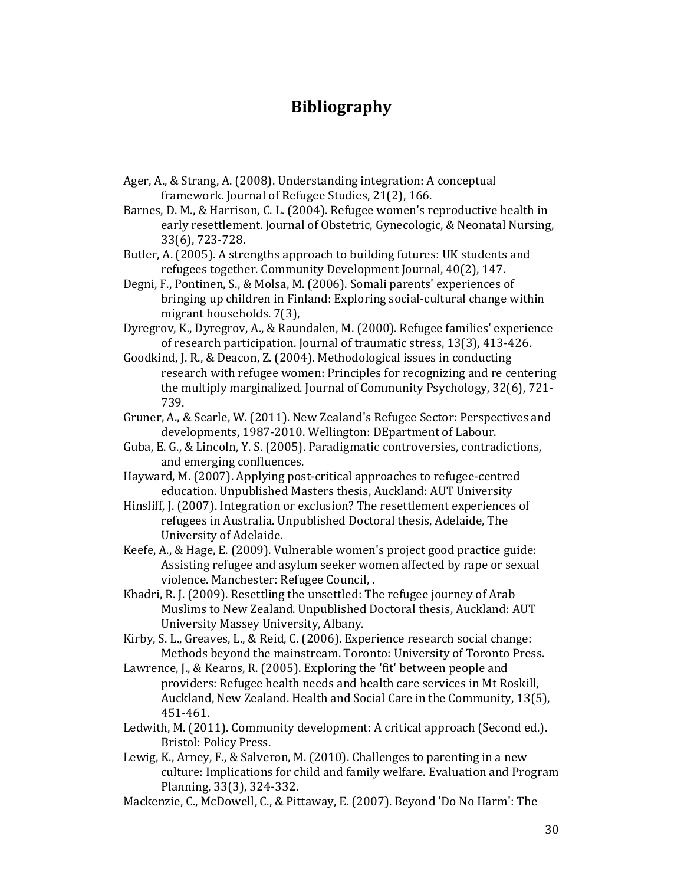# **Bibliography**

- Ager, A., & Strang, A. (2008). Understanding integration: A conceptual framework. Journal of Refugee Studies, 21(2), 166.
- Barnes, D. M., & Harrison, C. L. (2004). Refugee women's reproductive health in early resettlement. Journal of Obstetric, Gynecologic, & Neonatal Nursing, 33(6), 723-728.
- Butler, A. (2005). A strengths approach to building futures: UK students and refugees together. Community Development Journal, 40(2), 147.
- Degni, F., Pontinen, S., & Molsa, M. (2006). Somali parents' experiences of bringing up children in Finland: Exploring social-cultural change within migrant households. 7(3),
- Dyregrov, K., Dyregrov, A., & Raundalen, M. (2000). Refugee families' experience of research participation. Journal of traumatic stress, 13(3), 413-426.
- Goodkind, J. R., & Deacon, Z. (2004). Methodological issues in conducting research with refugee women: Principles for recognizing and re centering the multiply marginalized. Journal of Community Psychology, 32(6), 721- 739.
- Gruner, A., & Searle, W. (2011). New Zealand's Refugee Sector: Perspectives and developments, 1987-2010. Wellington: DEpartment of Labour.
- Guba, E. G., & Lincoln, Y. S. (2005). Paradigmatic controversies, contradictions, and emerging confluences.
- Hayward, M. (2007). Applying post-critical approaches to refugee-centred education. Unpublished Masters thesis, Auckland: AUT University
- Hinsliff, J. (2007). Integration or exclusion? The resettlement experiences of refugees in Australia. Unpublished Doctoral thesis, Adelaide, The University of Adelaide.
- Keefe, A., & Hage, E. (2009). Vulnerable women's project good practice guide: Assisting refugee and asylum seeker women affected by rape or sexual violence. Manchester: Refugee Council, .
- Khadri, R. J. (2009). Resettling the unsettled: The refugee journey of Arab Muslims to New Zealand. Unpublished Doctoral thesis, Auckland: AUT University Massey University, Albany.
- Kirby, S. L., Greaves, L., & Reid, C. (2006). Experience research social change: Methods beyond the mainstream. Toronto: University of Toronto Press.
- Lawrence, J., & Kearns, R. (2005). Exploring the 'fit' between people and providers: Refugee health needs and health care services in Mt Roskill, Auckland, New Zealand. Health and Social Care in the Community, 13(5), 451-461.
- Ledwith, M. (2011). Community development: A critical approach (Second ed.). Bristol: Policy Press.
- Lewig, K., Arney, F., & Salveron, M. (2010). Challenges to parenting in a new culture: Implications for child and family welfare. Evaluation and Program Planning, 33(3), 324-332.
- Mackenzie, C., McDowell, C., & Pittaway, E. (2007). Beyond 'Do No Harm': The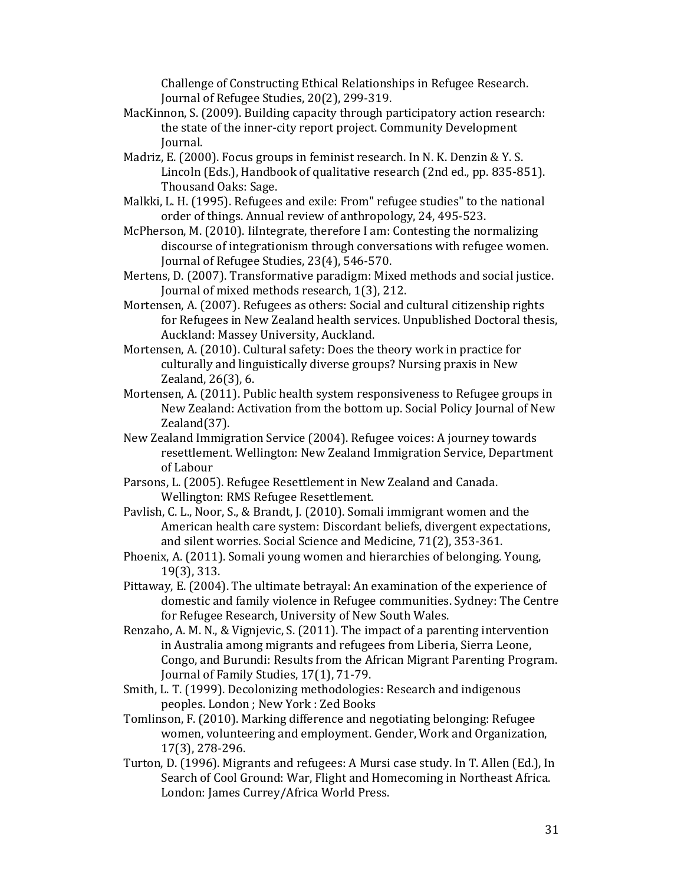Challenge of Constructing Ethical Relationships in Refugee Research. Journal of Refugee Studies, 20(2), 299-319.

- MacKinnon, S. (2009). Building capacity through participatory action research: the state of the inner-city report project. Community Development Journal.
- Madriz, E. (2000). Focus groups in feminist research. In N. K. Denzin & Y. S. Lincoln (Eds.), Handbook of qualitative research (2nd ed., pp. 835-851). Thousand Oaks: Sage.
- Malkki, L. H. (1995). Refugees and exile: From" refugee studies" to the national order of things. Annual review of anthropology, 24, 495-523.
- McPherson, M. (2010). IiIntegrate, therefore I am: Contesting the normalizing discourse of integrationism through conversations with refugee women. Journal of Refugee Studies, 23(4), 546-570.
- Mertens, D. (2007). Transformative paradigm: Mixed methods and social justice. Journal of mixed methods research, 1(3), 212.
- Mortensen, A. (2007). Refugees as others: Social and cultural citizenship rights for Refugees in New Zealand health services. Unpublished Doctoral thesis, Auckland: Massey University, Auckland.
- Mortensen, A. (2010). Cultural safety: Does the theory work in practice for culturally and linguistically diverse groups? Nursing praxis in New Zealand, 26(3), 6.
- Mortensen, A. (2011). Public health system responsiveness to Refugee groups in New Zealand: Activation from the bottom up. Social Policy Journal of New Zealand(37).
- New Zealand Immigration Service (2004). Refugee voices: A journey towards resettlement. Wellington: New Zealand Immigration Service, Department of Labour
- Parsons, L. (2005). Refugee Resettlement in New Zealand and Canada. Wellington: RMS Refugee Resettlement.
- Pavlish, C. L., Noor, S., & Brandt, J. (2010). Somali immigrant women and the American health care system: Discordant beliefs, divergent expectations, and silent worries. Social Science and Medicine, 71(2), 353-361.
- Phoenix, A. (2011). Somali young women and hierarchies of belonging. Young, 19(3), 313.
- Pittaway, E. (2004). The ultimate betrayal: An examination of the experience of domestic and family violence in Refugee communities. Sydney: The Centre for Refugee Research, University of New South Wales.
- Renzaho, A. M. N., & Vignjevic, S. (2011). The impact of a parenting intervention in Australia among migrants and refugees from Liberia, Sierra Leone, Congo, and Burundi: Results from the African Migrant Parenting Program. Journal of Family Studies, 17(1), 71-79.
- Smith, L. T. (1999). Decolonizing methodologies: Research and indigenous peoples. London ; New York : Zed Books
- Tomlinson, F. (2010). Marking difference and negotiating belonging: Refugee women, volunteering and employment. Gender, Work and Organization, 17(3), 278-296.
- Turton, D. (1996). Migrants and refugees: A Mursi case study. In T. Allen (Ed.), In Search of Cool Ground: War, Flight and Homecoming in Northeast Africa. London: James Currey/Africa World Press.